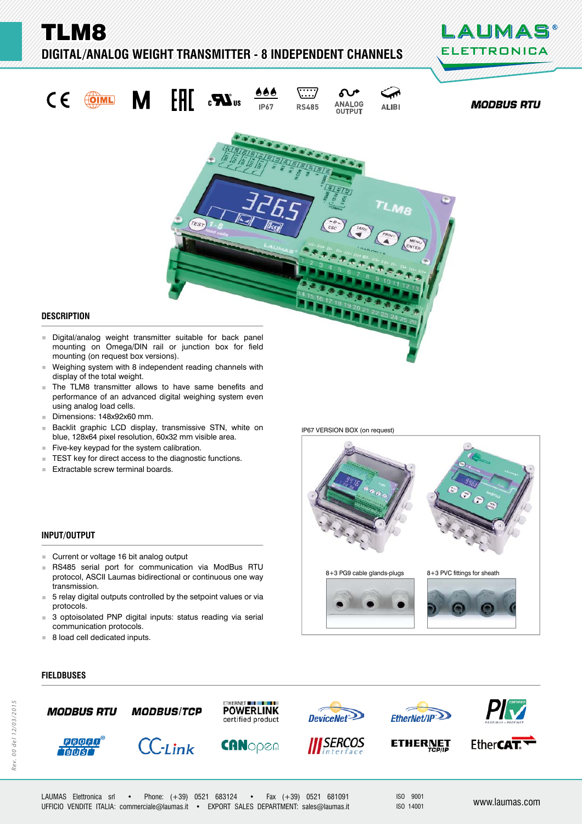TLM8

 $C \in$ 

## **DIGITAL/ANALOG WEIGHT TRANSMITTER - 8 INDEPENDENT CHANNELS**



**MODBUS RTU** 



## **DESCRIPTION ESCRIPTION**

- mounting on Omega/DIN rail or junction box for field mounting (on request box versions).
- Weighing system with 8 independent reading channels with display of the total weight.
- **The TLM8 transmitter allows to have same benefits and** performance of an advanced digital weighing system even using analog load cells.
- Dimensions: 148x92x60 mm.
- Backlit graphic LCD display, transmissive STN, white on blue, 128x64 pixel resolution, 60x32 mm visible area.
- $F$ ive-key keypad for the system calibration.
- TEST key for direct access to the diagnostic functions.<br>■ Extractable screw terminal boards
- Extractable screw terminal boards.

#### **INPUT/OUTPUT**

**FIELDBUSES IELDBUSES**

- **Current or voltage 16 bit analog output**
- RS485 serial port for communication via ModBus RTU protocol, ASCII Laumas bidirectional or continuous one way transmission.
- 5 relay digital outputs controlled by the setpoint values or via protocols.
- 3 optoisolated PNP digital inputs: status reading via serial communication protocols.
- 8 load cell dedicated inputs.

IP67 VERSION BOX (on request)







ISO 9001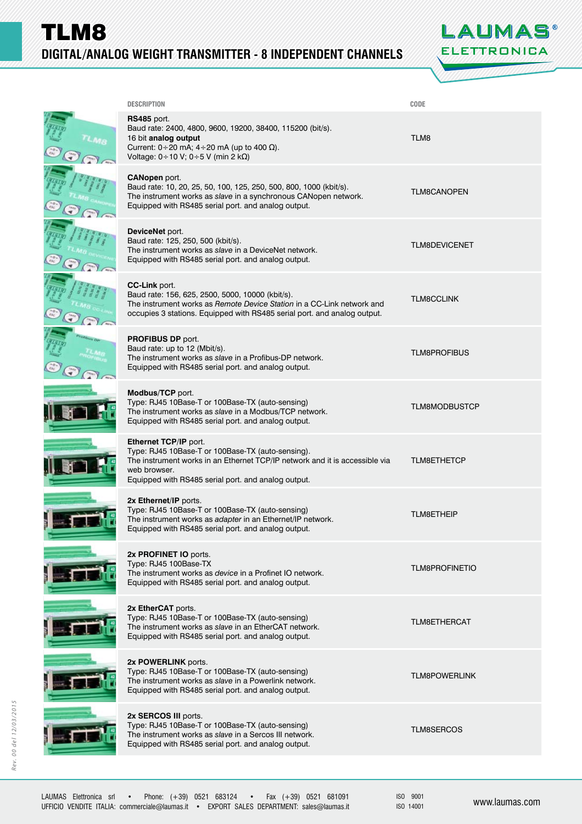TLM8 **DIGITAL/ANALOG WEIGHT TRANSMITTER - 8 INDEPENDENT CHANNELS** 



| <b>DESCRIPTION</b>                                                                                                                                                                                                               | CODE                  |
|----------------------------------------------------------------------------------------------------------------------------------------------------------------------------------------------------------------------------------|-----------------------|
| RS485 port.<br>Baud rate: 2400, 4800, 9600, 19200, 38400, 115200 (bit/s).<br>16 bit analog output<br>Current: $0 \div 20$ mA; $4 \div 20$ mA (up to 400 $\Omega$ ).<br>Voltage: $0 \div 10$ V; $0 \div 5$ V (min 2 k $\Omega$ )  | TLM8                  |
| <b>CANopen</b> port.<br>Baud rate: 10, 20, 25, 50, 100, 125, 250, 500, 800, 1000 (kbit/s).<br>The instrument works as slave in a synchronous CANopen network.<br>Equipped with RS485 serial port. and analog output.             | <b>TLM8CANOPEN</b>    |
| DeviceNet port.<br>Baud rate: 125, 250, 500 (kbit/s).<br>The instrument works as slave in a DeviceNet network.<br>Equipped with RS485 serial port. and analog output.                                                            | <b>TLM8DEVICENET</b>  |
| CC-Link port.<br>Baud rate: 156, 625, 2500, 5000, 10000 (kbit/s).<br>The instrument works as Remote Device Station in a CC-Link network and<br>occupies 3 stations. Equipped with RS485 serial port. and analog output.          | <b>TLM8CCLINK</b>     |
| <b>PROFIBUS DP port.</b><br>Baud rate: up to 12 (Mbit/s).<br>The instrument works as slave in a Profibus-DP network.<br>Equipped with RS485 serial port. and analog output.                                                      | <b>TLM8PROFIBUS</b>   |
| Modbus/TCP port.<br>Type: RJ45 10Base-T or 100Base-TX (auto-sensing)<br>The instrument works as slave in a Modbus/TCP network.<br>Equipped with RS485 serial port. and analog output.                                            | <b>TLM8MODBUSTCP</b>  |
| Ethernet TCP/IP port.<br>Type: RJ45 10Base-T or 100Base-TX (auto-sensing).<br>The instrument works in an Ethernet TCP/IP network and it is accessible via<br>web browser.<br>Equipped with RS485 serial port. and analog output. | <b>TLM8ETHETCP</b>    |
| 2x Ethernet/IP ports.<br>Type: RJ45 10Base-T or 100Base-TX (auto-sensing)<br>The instrument works as adapter in an Ethernet/IP network.<br>Equipped with RS485 serial port. and analog output.                                   | <b>TLM8ETHEIP</b>     |
| 2x PROFINET IO ports.<br>Type: RJ45 100Base-TX<br>The instrument works as device in a Profinet IO network.<br>Equipped with RS485 serial port. and analog output.                                                                | <b>TLM8PROFINETIO</b> |
| 2x EtherCAT ports.<br>Type: RJ45 10Base-T or 100Base-TX (auto-sensing)<br>The instrument works as slave in an EtherCAT network.<br>Equipped with RS485 serial port. and analog output.                                           | <b>TLM8ETHERCAT</b>   |
| 2x POWERLINK ports.<br>Type: RJ45 10Base-T or 100Base-TX (auto-sensing)<br>The instrument works as slave in a Powerlink network.<br>Equipped with RS485 serial port. and analog output.                                          | <b>TLM8POWERLINK</b>  |
| 2x SERCOS III ports.<br>Type: RJ45 10Base-T or 100Base-TX (auto-sensing)<br>The instrument works as slave in a Sercos III network.<br>Equipped with RS485 serial port. and analog output.                                        | <b>TLM8SERCOS</b>     |
|                                                                                                                                                                                                                                  |                       |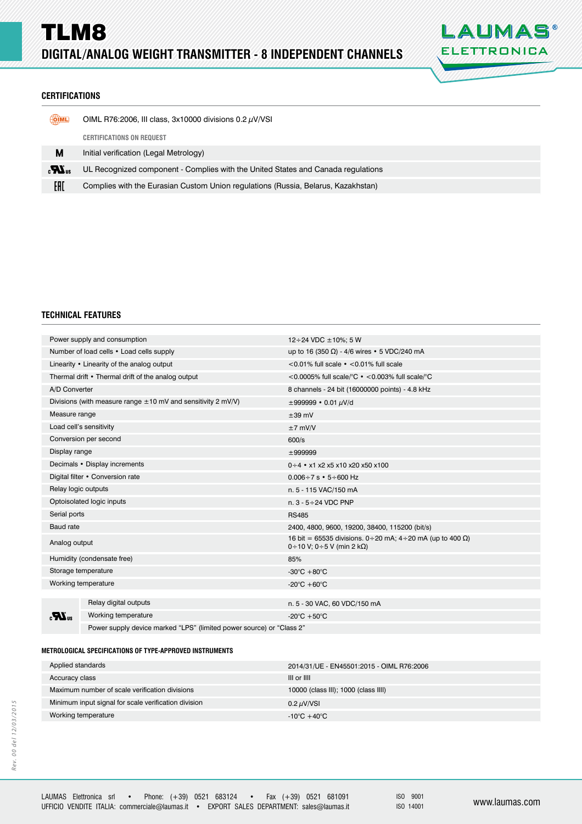

## **CERTIFICATIONS ERTIFICATIONS**

| <b>OIML</b>                       | OIML R76:2006, III class, $3x10000$ divisions 0.2 $\mu$ V/VSI                     |
|-----------------------------------|-----------------------------------------------------------------------------------|
|                                   | <b>CERTIFICATIONS ON REQUEST</b>                                                  |
| М                                 | Initial verification (Legal Metrology)                                            |
| $\epsilon$ <b>N</b> <sub>15</sub> | UL Recognized component - Complies with the United States and Canada regulations  |
| EAD                               | Complies with the Eurasian Custom Union regulations (Russia, Belarus, Kazakhstan) |

## **TECHNICAL FEATURES**

| Power supply and consumption                       |                                                                      | 12 ÷ 24 VDC $\pm$ 10%; 5 W                                                                             |  |  |
|----------------------------------------------------|----------------------------------------------------------------------|--------------------------------------------------------------------------------------------------------|--|--|
| Number of load cells • Load cells supply           |                                                                      | up to 16 (350 Ω) - 4/6 wires • 5 VDC/240 mA                                                            |  |  |
| Linearity • Linearity of the analog output         |                                                                      | $<$ 0.01% full scale $\cdot$ < 0.01% full scale                                                        |  |  |
| Thermal drift • Thermal drift of the analog output |                                                                      | <0.0005% full scale/ ${}^{\circ}$ C $\cdot$ <0.003% full scale/ ${}^{\circ}$ C                         |  |  |
| A/D Converter                                      |                                                                      | 8 channels - 24 bit (16000000 points) - 4.8 kHz                                                        |  |  |
|                                                    | Divisions (with measure range $\pm 10$ mV and sensitivity 2 mV/V)    | $\pm 999999 \cdot 0.01 \mu V/d$                                                                        |  |  |
| Measure range                                      |                                                                      | $\pm 39$ mV                                                                                            |  |  |
| Load cell's sensitivity                            |                                                                      | $±7$ mV/V                                                                                              |  |  |
| Conversion per second                              |                                                                      | 600/s                                                                                                  |  |  |
| Display range                                      |                                                                      | ±999999                                                                                                |  |  |
| Decimals • Display increments                      |                                                                      | $0 \div 4$ • x1 x2 x5 x10 x20 x50 x100                                                                 |  |  |
| Digital filter • Conversion rate                   |                                                                      | $0.006 \div 7$ s $\cdot$ 5 $\div$ 600 Hz                                                               |  |  |
| Relay logic outputs                                |                                                                      | n. 5 - 115 VAC/150 mA                                                                                  |  |  |
| Optoisolated logic inputs                          |                                                                      | n. $3 - 5 \div 24$ VDC PNP                                                                             |  |  |
| Serial ports                                       |                                                                      | <b>RS485</b>                                                                                           |  |  |
| <b>Baud</b> rate                                   |                                                                      | 2400, 4800, 9600, 19200, 38400, 115200 (bit/s)                                                         |  |  |
| Analog output                                      |                                                                      | 16 bit = 65535 divisions. 0 ÷ 20 mA; 4 ÷ 20 mA (up to 400 Ω)<br>$0 \div 10$ V; 0 $\div 5$ V (min 2 kΩ) |  |  |
| Humidity (condensate free)                         |                                                                      | 85%                                                                                                    |  |  |
| Storage temperature                                |                                                                      | -30 $\mathrm{^{\circ}C}$ +80 $\mathrm{^{\circ}C}$                                                      |  |  |
| Working temperature                                |                                                                      | -20 $\mathrm{^{\circ}C}$ +60 $\mathrm{^{\circ}C}$                                                      |  |  |
|                                                    |                                                                      |                                                                                                        |  |  |
| $\boldsymbol{H}$                                   | Relay digital outputs                                                | n. 5 - 30 VAC, 60 VDC/150 mA                                                                           |  |  |
|                                                    | Working temperature                                                  | -20 $\mathrm{^{\circ}C}$ +50 $\mathrm{^{\circ}C}$                                                      |  |  |
|                                                    | Power supply device marked "LPS" (limited power source) or "Class 2" |                                                                                                        |  |  |

## **METROLOGICAL SPECIFICATIONS OF TYPE-APPROVED INSTRUMENTS ETROLOGICAL SPECIFICATIONS OF TYPE-APPROVED**

| Applied standards                                    | 2014/31/UE - EN45501:2015 - OIML R76:2006 |  |
|------------------------------------------------------|-------------------------------------------|--|
| Accuracy class                                       | III or IIII                               |  |
| Maximum number of scale verification divisions       | 10000 (class III); 1000 (class IIII)      |  |
| Minimum input signal for scale verification division | 0.2 $\mu$ V/VSI                           |  |
| Working temperature                                  | $-10^{\circ}$ C +40 $^{\circ}$ C          |  |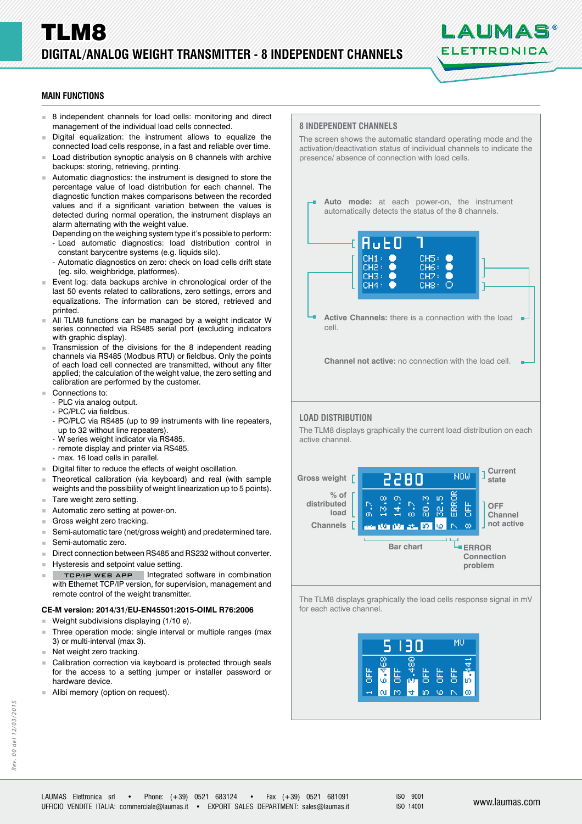# LALIMAS ELETTRONICA

## **MAIN FUNCTIONS**

- 8 independent channels for load cells: monitoring and direct management of the individual load cells connected.
- Digital equalization: the instrument allows to equalize the connected load cells response, in a fast and reliable over time.
- Load distribution synoptic analysis on 8 channels with archive backups: storing, retrieving, printing.
- Automatic diagnostics: the instrument is designed to store the percentage value of load distribution for each channel. The diagnostic function makes comparisons between the recorded values and if a significant variation between the values is detected during normal operation, the instrument displays an alarm alternating with the weight value.
	- Depending on the weighing system type it's possible to perform: - Load automatic diagnostics: load distribution control in constant barycentre systems (e.g. liquids silo).
	- Automatic diagnostics on zero: check on load cells drift state (eg. silo, weighbridge, platformes).
- Event log: data backups archive in chronological order of the last 50 events related to calibrations, zero settings, errors and equalizations. The information can be stored, retrieved and printed.
- All TLM8 functions can be managed by a weight indicator W series connected via RS485 serial port (excluding indicators with graphic display).
- Transmission of the divisions for the 8 independent reading channels via RS485 (Modbus RTU) or fieldbus. Only the points of each load cell connected are transmitted, without any filter applied; the calculation of the weight value, the zero setting and calibration are performed by the customer.
- Connections to:
	- PLC via analog output.
	- PC/PLC via fieldbus.
	- PC/PLC via RS485 (up to 99 instruments with line repeaters, up to 32 without line repeaters).
	- W series weight indicator via RS485.
	- remote display and printer via RS485.
	- max. 16 load cells in parallel.
- Digital filter to reduce the effects of weight oscillation.
- Theoretical calibration (via keyboard) and real (with sample weights and the possibility of weight linearization up to 5 points).
- Tare weight zero setting.
- Automatic zero setting at power-on.
- Gross weight zero tracking.
- Semi-automatic tare (net/gross weight) and predetermined tare.
- Semi-automatic zero.
- Direct connection between RS485 and RS232 without converter.
- **Hysteresis and setpoint value setting.**
- TCP/IP WEB APP | Integrated software in combination with Ethernet TCP/IP version, for supervision, management and remote control of the weight transmitter.

#### **CE-M version: 2014/31/EU-EN45501:2015-OIML R76:2006**

- **Weight subdivisions displaying (1/10 e).**
- Three operation mode: single interval or multiple ranges (max 3) or multi-interval (max 3).
- Net weight zero tracking.
- Calibration correction via keyboard is protected through seals for the access to a setting jumper or installer password or hardware device.
- Alibi memory (option on request).





ISO 900